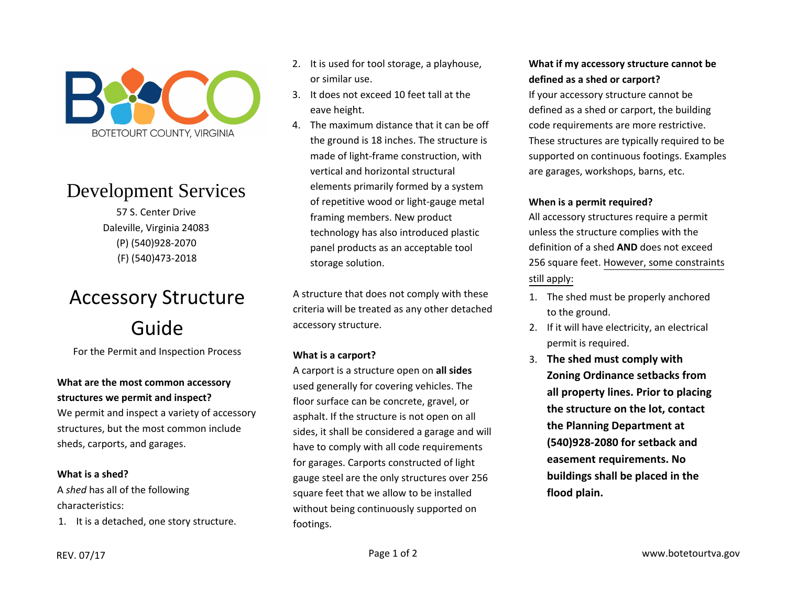

## Development Services

57 S. Center DriveDaleville, Virginia 24083(P) (540)928-2070(F) (540)473‐<sup>2018</sup>

# Accessory StructureGuide

For the Permit and Inspection Process

#### **What are the most common accessory structures we permit and inspect?**

We permit and inspect <sup>a</sup> variety of accessory structures, but the most common include sheds, carports, and garages.

#### **What is <sup>a</sup> shed?**

A *shed* has all of the following characteristics:

1. It is <sup>a</sup> detached, one story structure.

- 2. It is used for tool storage, <sup>a</sup> playhouse, or similar use.
- 3. It does not exceed <sup>10</sup> feet tall at the eave height.
- 4. The maximum distance that it can be off the ground is <sup>18</sup> inches. The structure is made of light‐frame construction, withvertical and horizontal structural elements primarily formed by <sup>a</sup> system of repetitive wood or light‐gauge metal framing members. New product technology has also introduced plastic panel products as an acceptable tool storage solution.

A structure that does not comply with these criteria will be treated as any other detached accessory structure.

#### **What is a carport?**

A carport is <sup>a</sup> structure open on **all sides** used generally for covering vehicles. The floor surface can be concrete, gravel, or asphalt. If the structure is not open on all sides, it shall be considered <sup>a</sup> garage and will have to comply with all code requirements for garages. Carports constructed of light gauge steel are the only structures over 256 square feet that we allow to be installed without being continuously supported on footings.

#### **What if my accessory structure cannot be defined as <sup>a</sup> shed or carport?**

If your accessory structure cannot be defined as <sup>a</sup> shed or carport, the building code requirements are more restrictive. These structures are typically required to be supported on continuous footings. Examples are garages, workshops, barns, etc.

### **When is <sup>a</sup> permit required?**

All accessory structures require <sup>a</sup> permit unless the structure complies with the definition of <sup>a</sup> shed **AND** does not exceed 256 square feet. <u>However, some constraints</u> still apply:

- 1. The shed must be properly anchored to the ground.
- 2. If it will have electricity, an electrical permit is required.
- 3. **The shed must comply with Zoning Ordinance setbacks from all property lines. Prior to placing the structure on the lot, contact the Planning Department at (540)928-2080 for setback andeasement requirements. Nobuildings shall be placed in the flood plain.**